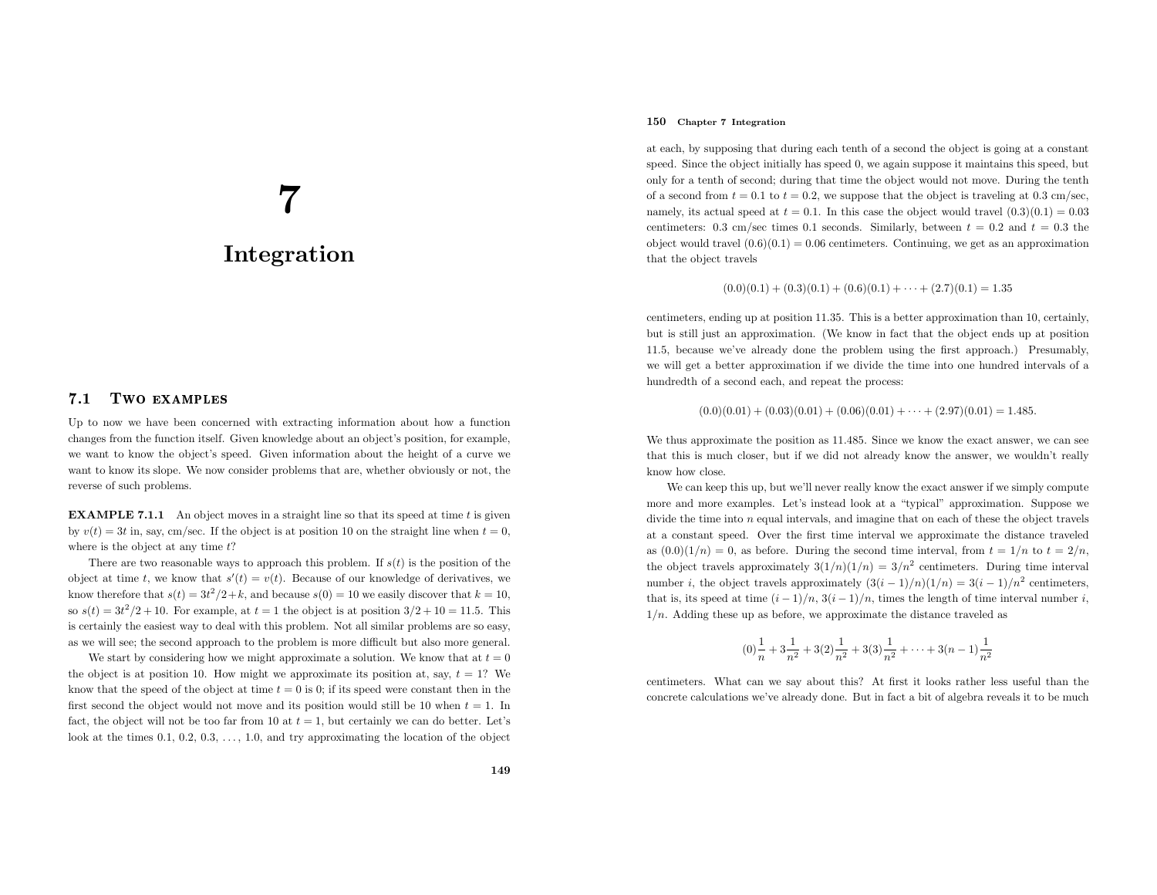# 7Integration

#### 7.1Two examples

Up to now we have been concerned with extracting information about how <sup>a</sup> function changes from the function itself. Given knowledge about an object's position, for example, we want to know the object's speed. Given information about the height of <sup>a</sup> curve we want to know its slope. We now consider problems that are, whether obviously or not, the reverse of such problems.

**EXAMPLE 7.1.1** An object moves in a straight line so that its speed at time  $t$  is given by  $v(t) = 3t$  in, say, cm/sec. If the object is at position 10 on the straight line when  $t = 0$ , where is the object at any time  $t$ ?

There are two reasonable ways to approach this problem. If  $s(t)$  is the position of the object at time t, we know that  $s'(t) = v(t)$ . Because of our knowledge of derivatives, we know therefore that  $s(t) = 3t^2/2 + k$ , and because  $s(0) = 10$  we easily discover that  $k = 10$ , so  $s(t) = 3t^2/2 + 10$ . For example, at  $t = 1$  the object is at position  $3/2 + 10 = 11.5$ . This is certainly the easiest way to deal with this problem. Not all similar problems are so easy, as we will see; the second approac<sup>h</sup> to the problem is more difficult but also more general.

We start by considering how we might approximate a solution. We know that at  $t = 0$ the object is at position 10. How might we approximate its position at, say,  $t = 1$ ? We know that the speed of the object at time  $t = 0$  is 0; if its speed were constant then in the first second the object would not move and its position would still be 10 when  $t = 1$ . In fact, the object will not be too far from 10 at  $t = 1$ , but certainly we can do better. Let's look at the times  $0.1, 0.2, 0.3, \ldots, 1.0$ , and try approximating the location of the object

## 150 Chapter <sup>7</sup> Integration

at each, by supposing that during each tenth of <sup>a</sup> second the object is going at <sup>a</sup> constant speed. Since the object initially has speed 0, we again suppose it maintains this speed, but only for <sup>a</sup> tenth of second; during that time the object would not move. During the tenthof a second from  $t = 0.1$  to  $t = 0.2$ , we suppose that the object is traveling at 0.3 cm/sec, namely, its actual speed at  $t = 0.1$ . In this case the object would travel  $(0.3)(0.1) = 0.03$ centimeters: 0.3 cm/sec times 0.1 seconds. Similarly, between  $t = 0.2$  and  $t = 0.3$  the object would travel  $(0.6)(0.1) = 0.06$  centimeters. Continuing, we get as an approximation that the object travels

$$
(0.0)(0.1) + (0.3)(0.1) + (0.6)(0.1) + \dots + (2.7)(0.1) = 1.35
$$

centimeters, ending up at position 11.35. This is <sup>a</sup> better approximation than 10, certainly, but is still just an approximation. (We know in fact that the object ends up at position <sup>11</sup>.5, because we've already done the problem using the first approach.) Presumably, we will get <sup>a</sup> better approximation if we divide the time into one hundred intervals of <sup>a</sup> hundredth of <sup>a</sup> second each, and repeat the process:

$$
(0.0)(0.01) + (0.03)(0.01) + (0.06)(0.01) + \cdots + (2.97)(0.01) = 1.485.
$$

We thus approximate the position as  $11.485$ . Since we know the exact answer, we can see that this is much closer, but if we did not already know the answer, we wouldn't reallyknow how close.

We can keep this up, but we'll never really know the exact answer if we simply compute more and more examples. Let's instead look at <sup>a</sup> "typical" approximation. Suppose we divide the time into <sup>n</sup> equa<sup>l</sup> intervals, and imagine that on each of these the object travels at <sup>a</sup> constant speed. Over the first time interval we approximate the distance traveledas  $(0.0)(1/n) = 0$ , as before. During the second time interval, from  $t = 1/n$  to  $t = 2/n$ , the object travels approximately  $3(1/n)(1/n) = 3/n^2$  centimeters. During time interval number *i*, the object travels approximately  $(3(i - 1)/n)(1/n) = 3(i - 1)/n^2$  centimeters, that is, its speed at time  $(i-1)/n$ ,  $3(i-1)/n$ , times the length of time interval number i,  $1/n$ . Adding these up as before, we approximate the distance traveled as

$$
(0)\frac{1}{n} + 3\frac{1}{n^2} + 3(2)\frac{1}{n^2} + 3(3)\frac{1}{n^2} + \dots + 3(n-1)\frac{1}{n^2}
$$

centimeters. What can we say about this? At first it looks rather less useful than the concrete calculations we've already done. But in fact <sup>a</sup> bit of algebra reveals it to be much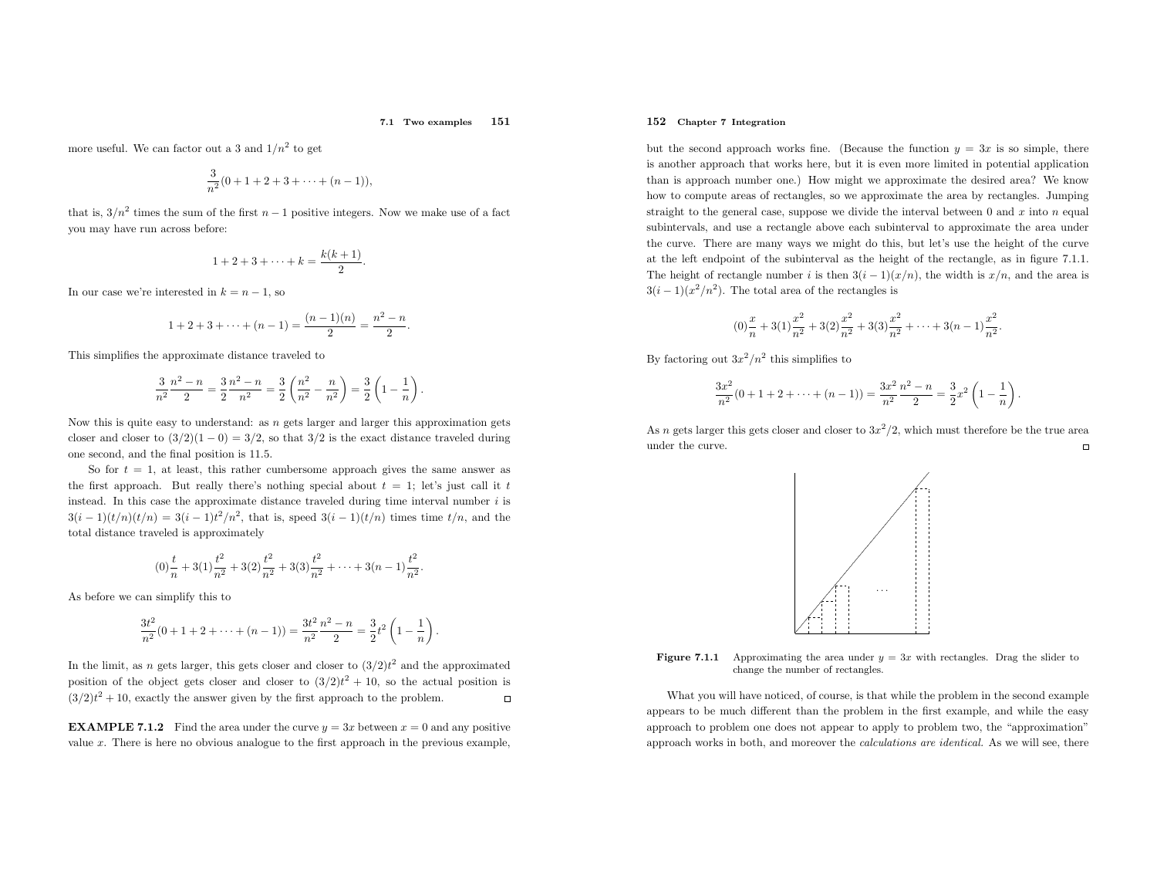#### 7.1 Two examples <sup>151</sup>

more useful. We can factor out a 3 and  $1/n^2$  to get

$$
\frac{3}{n^2}(0+1+2+3+\cdots+(n-1)),
$$

that is,  $3/n^2$  times the sum of the first  $n-1$  positive integers. Now we make use of a fact you may have run across before:

$$
1 + 2 + 3 + \cdots + k = \frac{k(k+1)}{2}.
$$

In our case we're interested in  $k = n - 1$ , so

$$
1 + 2 + 3 + \dots + (n - 1) = \frac{(n - 1)(n)}{2} = \frac{n^2 - n}{2}.
$$

This simplifies the approximate distance traveled to

$$
\frac{3}{n^2} \frac{n^2 - n}{2} = \frac{3}{2} \frac{n^2 - n}{n^2} = \frac{3}{2} \left( \frac{n^2}{n^2} - \frac{n}{n^2} \right) = \frac{3}{2} \left( 1 - \frac{1}{n} \right).
$$

Now this is quite easy to understand: as  $n$  gets larger and larger this approximation gets closer and closer to  $(3/2)(1-0) = 3/2$ , so that  $3/2$  is the exact distance traveled during one second, and the final position is <sup>11</sup>.5.

So for  $t = 1$ , at least, this rather cumbersome approach gives the same answer as the first approach. But really there's nothing special about  $t = 1$ ; let's just call it t instead. In this case the approximate distance traveled during time interval number  $i$  is  $3(i-1)(t/n)(t/n) = 3(i-1)t^2/n^2$ , that is, speed  $3(i-1)(t/n)$  times time  $t/n$ , and the total distance traveled is approximately

$$
(0)\frac{t}{n}+3(1)\frac{t^2}{n^2}+3(2)\frac{t^2}{n^2}+3(3)\frac{t^2}{n^2}+\cdots+3(n-1)\frac{t^2}{n^2}.
$$

As before we can simplify this to

$$
\frac{3t^2}{n^2}(0+1+2+\cdots+(n-1))=\frac{3t^2}{n^2}\frac{n^2-n}{2}=\frac{3}{2}t^2\left(1-\frac{1}{n}\right).
$$

In the limit, as *n* gets larger, this gets closer and closer to  $(3/2)t^2$  and the approximated position of the object gets closer and closer to  $(3/2)t^2 + 10$ , so the actual position is  $(3/2)t^2 + 10$ , exactly the answer given by the first approach to the problem.  $\Box$ 

**EXAMPLE 7.1.2** Find the area under the curve  $y = 3x$  between  $x = 0$  and any positive value <sup>x</sup>. There is here no obvious analogue to the first approac<sup>h</sup> in the previous example,

## 152 Chapter <sup>7</sup> Integration

but the second approach works fine. (Because the function  $y = 3x$  is so simple, there is another approac<sup>h</sup> that works here, but it is even more limited in potential application than is approac<sup>h</sup> number one.) How might we approximate the desired area? We know how to compute areas of rectangles, so we approximate the area by rectangles. Jumping straight to the general case, suppose we divide the interval between  $0$  and  $x$  into  $n$  equal subintervals, and use <sup>a</sup> rectangle above each subinterval to approximate the area under the curve. There are many ways we might do this, but let's use the height of the curve at the left endpoint of the subinterval as the height of the rectangle, as in figure 7.1.1. The height of rectangle number i is then  $3(i-1)(x/n)$ , the width is  $x/n$ , and the area is  $3(i-1)(x^2/n^2)$ . The total area of the rectangles is

$$
(0)\frac{x}{n} + 3(1)\frac{x^2}{n^2} + 3(2)\frac{x^2}{n^2} + 3(3)\frac{x^2}{n^2} + \dots + 3(n-1)\frac{x^2}{n^2}.
$$

By factoring out  $3x^2/n^2$  this simplifies to

$$
\frac{3x^2}{n^2}(0+1+2+\cdots+(n-1))=\frac{3x^2}{n^2}\frac{n^2-n}{2}=\frac{3}{2}x^2\left(1-\frac{1}{n}\right).
$$

As *n* gets larger this gets closer and closer to  $3x^2/2$ , which must therefore be the true area under the curve.





What you will have noticed, of course, is that while the problem in the second example appears to be much different than the problem in the first example, and while the easy approac<sup>h</sup> to problem one does not appear to apply to problem two, the "approximation" approac<sup>h</sup> works in both, and moreover the calculations are identical. As we will see, there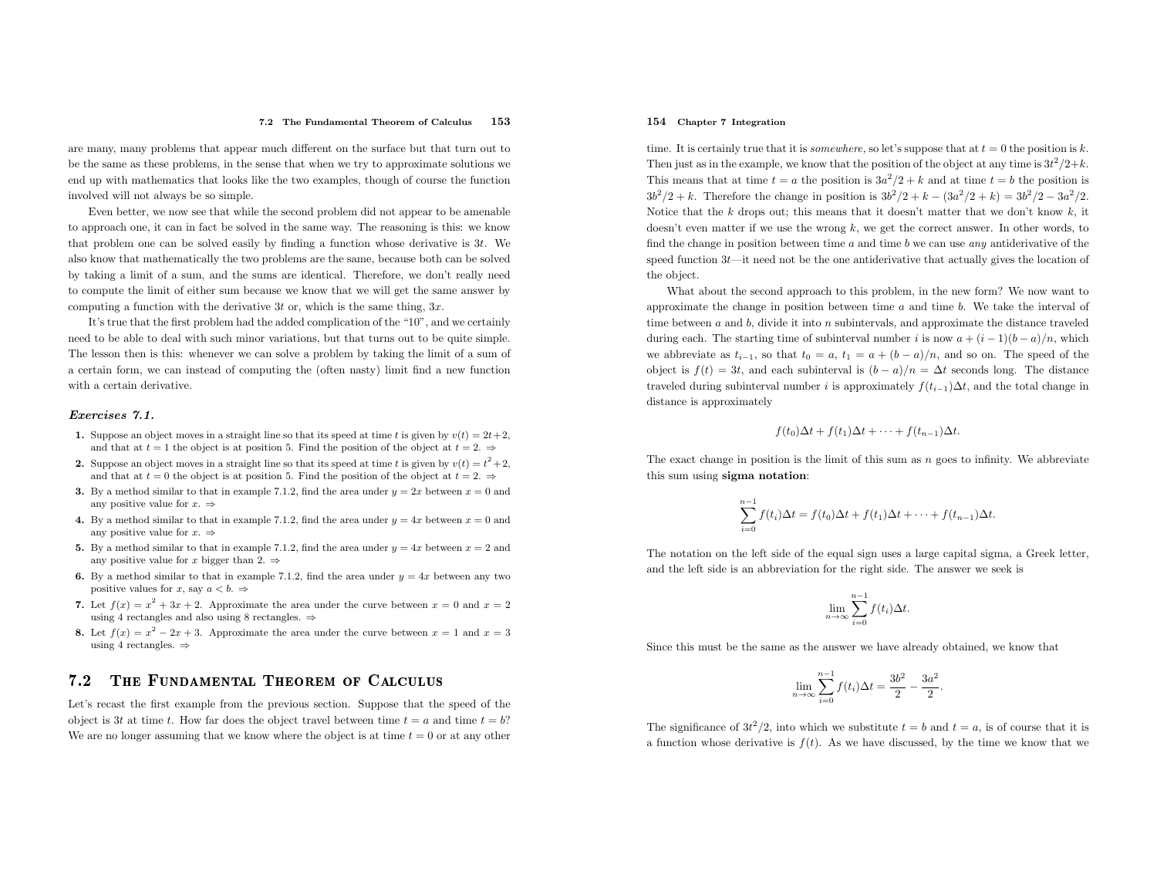are many, many problems that appear much different on the surface but that turn out to be the same as these problems, in the sense that when we try to approximate solutions we end up with mathematics that looks like the two examples, though of course the functioninvolved will not always be so simple.

Even better, we now see that while the second problem did not appear to be amenable to approac<sup>h</sup> one, it can in fact be solved in the same way. The reasoning is this: we know that problem one can be solved easily by finding <sup>a</sup> function whose derivative is <sup>3</sup>t. We also know that mathematically the two problems are the same, because both can be solved by taking <sup>a</sup> limit of <sup>a</sup> sum, and the sums are identical. Therefore, we don't really need to compute the limit of either sum because we know that we will get the same answer bycomputing a function with the derivative  $3t$  or, which is the same thing,  $3x$ .

It's true that the first problem had the added complication of the "10", and we certainly need to be able to deal with such minor variations, but that turns out to be quite simple. The lesson then is this: whenever we can solve <sup>a</sup> problem by taking the limit of <sup>a</sup> sum of <sup>a</sup> certain form, we can instead of computing the (often nasty) limit find <sup>a</sup> new functionwith <sup>a</sup> certain derivative.

#### Exercises 7.1.

- 1. Suppose an object moves in a straight line so that its speed at time t is given by  $v(t) = 2t + 2$ , and that at  $t = 1$  the object is at position 5. Find the position of the object at  $t = 2$ .
- 2. Suppose an object moves in a straight line so that its speed at time t is given by  $v(t) = t^2 + 2$ , and that at  $t = 0$  the object is at position 5. Find the position of the object at  $t = 2, \Rightarrow$
- **3.** By a method similar to that in example 7.1.2, find the area under  $y = 2x$  between  $x = 0$  and any positive value for  $x. \Rightarrow$
- 4. By a method similar to that in example 7.1.2, find the area under  $y = 4x$  between  $x = 0$  and any positive value for  $x. \Rightarrow$
- 5. By a method similar to that in example 7.1.2, find the area under  $y = 4x$  between  $x = 2$  and any positive value for x bigger than 2.  $\Rightarrow$
- **6.** By a method similar to that in example 7.1.2, find the area under  $y = 4x$  between any two positive values for x, say  $a < b$ .  $\Rightarrow$
- 7. Let  $f(x) = x^2 + 3x + 2$ . Approximate the area under the curve between  $x = 0$  and  $x = 2$ using 4 rectangles and also using 8 rectangles.  $\Rightarrow$
- 8. Let  $f(x) = x^2 2x + 3$ . Approximate the area under the curve between  $x = 1$  and  $x = 3$ using 4 rectangles.  $\Rightarrow$

#### 7.22 The Fundamental Theorem of Calculus

Let's recast the first example from the previous section. Suppose that the speed of the object is 3t at time t. How far does the object travel between time  $t = a$  and time  $t = b$ ? We are no longer assuming that we know where the object is at time  $t = 0$  or at any other

## 154 Chapter <sup>7</sup> Integration

time. It is certainly true that it is *somewhere*, so let's suppose that at  $t = 0$  the position is k. Then just as in the example, we know that the position of the object at any time is  $3t^2/2+k$ . This means that at time  $t = a$  the position is  $3a^2/2 + k$  and at time  $t = b$  the position is  $3b^2/2 + k$ . Therefore the change in position is  $3b^2/2 + k - (3a^2/2 + k) = 3b^2/2 - 3a^2/2$ . Notice that the k drops out; this means that it doesn't matter that we don't know  $k$ , it doesn't even matter if we use the wrong  $k$ , we get the correct answer. In other words, to find the change in position between time  $a$  and time  $b$  we can use  $any$  antiderivative of the speed function  $3t$ —it need not be the one antiderivative that actually gives the location of the object.

What about the second approac<sup>h</sup> to this problem, in the new form? We now want to approximate the change in position between time  $a$  and time  $b$ . We take the interval of time between <sup>a</sup> and <sup>b</sup>, divide it into <sup>n</sup> subintervals, and approximate the distance traveled during each. The starting time of subinterval number i is now  $a + (i - 1)(b - a)/n$ , which we abbreviate as  $t_{i-1}$ , so that  $t_0 = a$ ,  $t_1 = a + (b - a)/n$ , and so on. The speed of the object is  $f(t) = 3t$ , and each subinterval is  $(b - a)/n = \Delta t$  seconds long. The distance traveled during subinterval number i is approximately  $f(t_{i-1})\Delta t$ , and the total change in distance is approximately

$$
f(t_0)\Delta t + f(t_1)\Delta t + \cdots + f(t_{n-1})\Delta t.
$$

The exact change in position is the limit of this sum as  $n$  goes to infinity. We abbreviate this sum using sigma notation:

$$
\sum_{i=0}^{n-1} f(t_i)\Delta t = f(t_0)\Delta t + f(t_1)\Delta t + \cdots + f(t_{n-1})\Delta t.
$$

The notation on the left side of the equa<sup>l</sup> sign uses <sup>a</sup> large capital sigma, <sup>a</sup> Greek letter, and the left side is an abbreviation for the right side. The answer we seek is

$$
\lim_{n \to \infty} \sum_{i=0}^{n-1} f(t_i) \Delta t.
$$

Since this must be the same as the answer we have already obtained, we know that

$$
\lim_{n \to \infty} \sum_{i=0}^{n-1} f(t_i) \Delta t = \frac{3b^2}{2} - \frac{3a^2}{2}.
$$

The significance of  $3t^2/2$ , into which we substitute  $t = b$  and  $t = a$ , is of course that it is a function whose derivative is  $f(t)$ . As we have discussed, by the time we know that we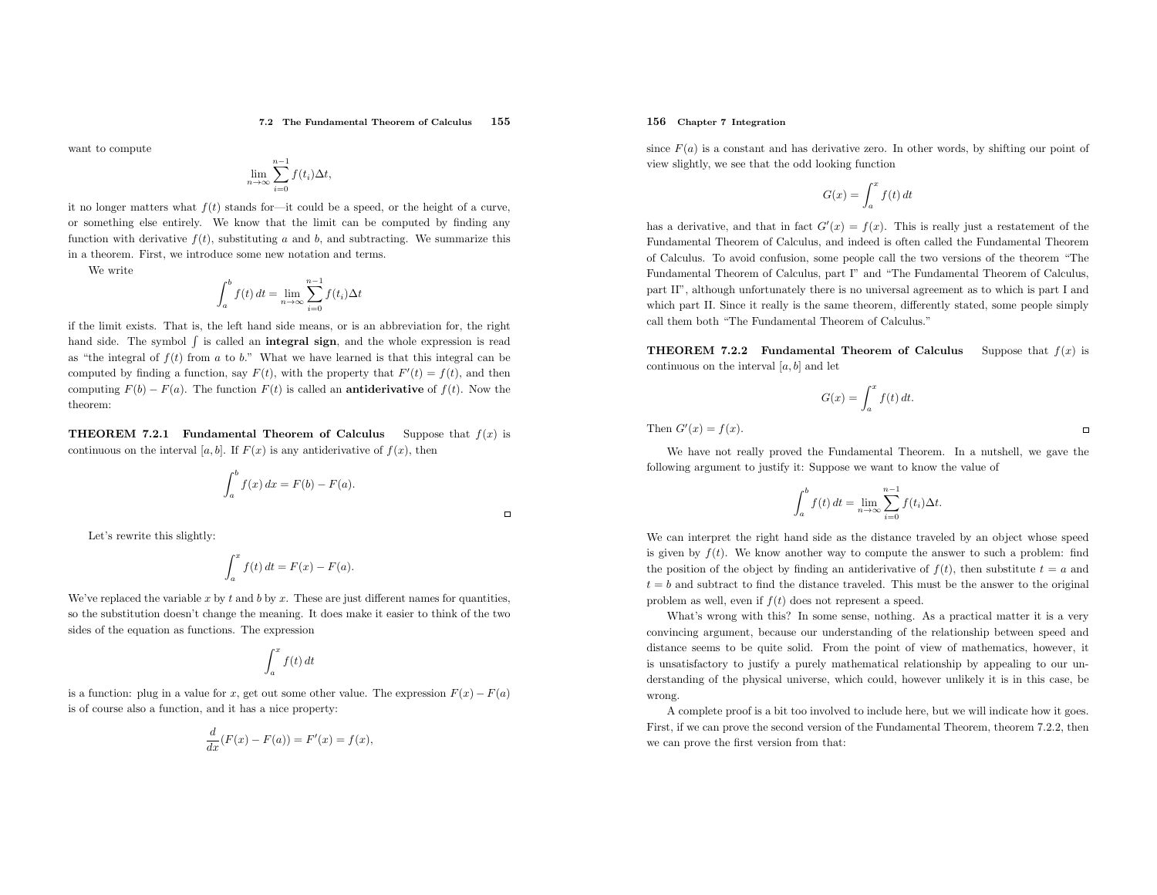$\Box$ 

want to compute

$$
\lim_{n \to \infty} \sum_{i=0}^{n-1} f(t_i) \Delta t,
$$

it no longer matters what  $f(t)$  stands for—it could be a speed, or the height of a curve, or something else entirely. We know that the limit can be computed by finding anyfunction with derivative  $f(t)$ , substituting a and b, and subtracting. We summarize this in <sup>a</sup> theorem. First, we introduce some new notation and terms.

We write

$$
\int_{a}^{b} f(t) dt = \lim_{n \to \infty} \sum_{i=0}^{n-1} f(t_i) \Delta t
$$

if the limit exists. That is, the left hand side means, or is an abbreviation for, the right hand side. The symbol  $\int$  is called an **integral sign**, and the whole expression is read as "the integral of  $f(t)$  from a to b." What we have learned is that this integral can be computed by finding a function, say  $F(t)$ , with the property that  $F'(t) = f(t)$ , and then computing  $F(b) - F(a)$ . The function  $F(t)$  is called an **antiderivative** of  $f(t)$ . Now the theorem:

**THEOREM 7.2.1 Fundamental Theorem of Calculus** Suppose that  $f(x)$  is continuous on the interval  $[a, b]$ . If  $F(x)$  is any antiderivative of  $f(x)$ , then

$$
\int_a^b f(x) dx = F(b) - F(a).
$$

Let's rewrite this slightly:

$$
\int_a^x f(t) dt = F(x) - F(a).
$$

We've replaced the variable x by t and b by x. These are just different names for quantities, so the substitution doesn't change the meaning. It does make it easier to think of the two sides of the equation as functions. The expression

$$
\int_{a}^{x} f(t) dt
$$

is a function: plug in a value for x, get out some other value. The expression  $F(x) - F(a)$ is of course also <sup>a</sup> function, and it has <sup>a</sup> nice property:

$$
\frac{d}{dx}(F(x) - F(a)) = F'(x) = f(x),
$$

## 156 Chapter <sup>7</sup> Integration

since  $F(a)$  is a constant and has derivative zero. In other words, by shifting our point of view slightly, we see that the odd looking function

$$
G(x) = \int_{a}^{x} f(t) dt
$$

has a derivative, and that in fact  $G'(x) = f(x)$ . This is really just a restatement of the Fundamental Theorem of Calculus, and indeed is often called the Fundamental Theorem of Calculus. To avoid confusion, some people call the two versions of the theorem "The Fundamental Theorem of Calculus, part I" and "The Fundamental Theorem of Calculus, part II", although unfortunately there is no universal agreement as to which is part <sup>I</sup> and which part II. Since it really is the same theorem, differently stated, some people simplycall them both "The Fundamental Theorem of Calculus."

**THEOREM 7.2.2** Fundamental Theorem of Calculus Suppose that  $f(x)$  is continuous on the interval  $[a, b]$  and let

$$
G(x) = \int_{a}^{x} f(t) dt.
$$

Then  $G'(x) = f(x)$ .

We have not really proved the Fundamental Theorem. In <sup>a</sup> nutshell, we gave the following argument to justify it: Suppose we want to know the value of

$$
\int_{a}^{b} f(t) dt = \lim_{n \to \infty} \sum_{i=0}^{n-1} f(t_i) \Delta t.
$$

We can interpret the right hand side as the distance traveled by an object whose speed is given by  $f(t)$ . We know another way to compute the answer to such a problem: find the position of the object by finding an antiderivative of  $f(t)$ , then substitute  $t = a$  and  $t = b$  and subtract to find the distance traveled. This must be the answer to the original problem as well, even if  $f(t)$  does not represent a speed.

What's wrong with this? In some sense, nothing. As <sup>a</sup> practical matter it is <sup>a</sup> very convincing argument, because our understanding of the relationship between speed and distance seems to be quite solid. From the point of view of mathematics, however, it is unsatisfactory to justify <sup>a</sup> purely mathematical relationship by appealing to our understanding of the <sup>p</sup>hysical universe, which could, however unlikely it is in this case, be wrong.

 <sup>A</sup> complete proo<sup>f</sup> is <sup>a</sup> bit too involved to include here, but we will indicate how it goes. First, if we can prove the second version of the Fundamental Theorem, theorem 7.2.2, thenwe can prove the first version from that:

 $\Box$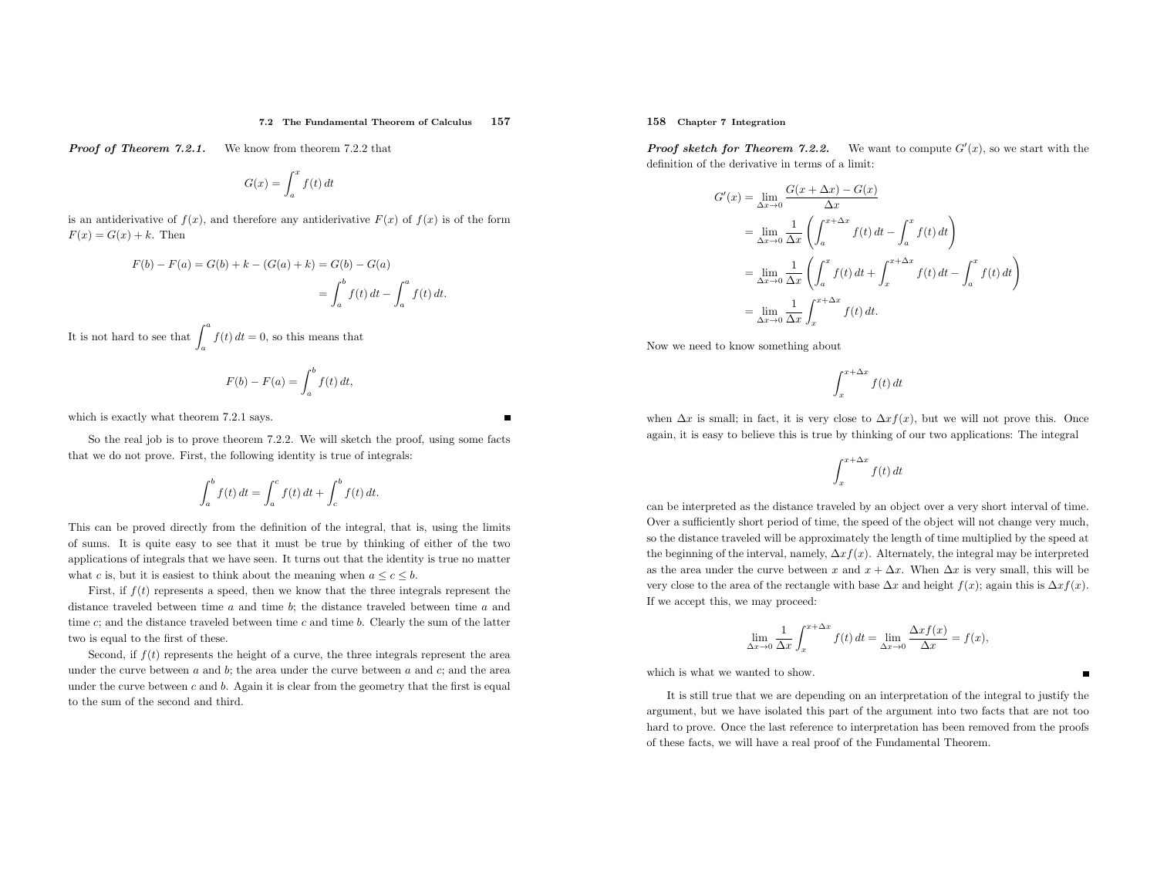#### 7.2 The Fundamental Theorem of Calculus <sup>157</sup>

**Proof of Theorem 7.2.1.** We know from theorem 7.2.2 that

$$
G(x) = \int_{a}^{x} f(t) dt
$$

is an antiderivative of  $f(x)$ , and therefore any antiderivative  $F(x)$  of  $f(x)$  is of the form  $F(x) = G(x) + k$ . Then

$$
F(b) - F(a) = G(b) + k - (G(a) + k) = G(b) - G(a)
$$
  
= 
$$
\int_{a}^{b} f(t) dt - \int_{a}^{a} f(t) dt.
$$

It is not hard to see that  $\int_a^a f(t) dt = 0$ , so this means that

$$
F(b) - F(a) = \int_a^b f(t) dt,
$$

which is exactly what theorem 7.2.1 says.

So the real job is to prove theorem 7.2.2. We will sketch the proof, using some facts that we do not prove. First, the following identity is true of integrals:

$$
\int_{a}^{b} f(t) dt = \int_{a}^{c} f(t) dt + \int_{c}^{b} f(t) dt.
$$

This can be proved directly from the definition of the integral, that is, using the limits of sums. It is quite easy to see that it must be true by thinking of either of the two applications of integrals that we have seen. It turns out that the identity is true no matter what c is, but it is easiest to think about the meaning when  $a \leq c \leq b$ .

First, if  $f(t)$  represents a speed, then we know that the three integrals represent the distance traveled between time  $a$  and time  $b$ ; the distance traveled between time  $a$  and time  $c$ ; and the distance traveled between time  $c$  and time  $b$ . Clearly the sum of the latter two is equa<sup>l</sup> to the first of these.

Second, if  $f(t)$  represents the height of a curve, the three integrals represent the area under the curve between  $a$  and  $b$ ; the area under the curve between  $a$  and  $c$ ; and the area under the curve between  $c$  and  $b$ . Again it is clear from the geometry that the first is equal to the sum of the second and third.

158 Chapter <sup>7</sup> Integration

**Proof sketch for Theorem 7.2.2.** We want to compute  $G'(x)$ , so we start with the definition of the derivative in terms of <sup>a</sup> limit:

$$
G'(x) = \lim_{\Delta x \to 0} \frac{G(x + \Delta x) - G(x)}{\Delta x}
$$
  
= 
$$
\lim_{\Delta x \to 0} \frac{1}{\Delta x} \left( \int_{a}^{x + \Delta x} f(t) dt - \int_{a}^{x} f(t) dt \right)
$$
  
= 
$$
\lim_{\Delta x \to 0} \frac{1}{\Delta x} \left( \int_{a}^{x} f(t) dt + \int_{x}^{x + \Delta x} f(t) dt - \int_{a}^{x} f(t) dt \right)
$$
  
= 
$$
\lim_{\Delta x \to 0} \frac{1}{\Delta x} \int_{x}^{x + \Delta x} f(t) dt.
$$

Now we need to know something about

$$
\int_{x}^{x+\Delta x} f(t) dt
$$

when  $\Delta x$  is small; in fact, it is very close to  $\Delta x f(x)$ , but we will not prove this. Once again, it is easy to believe this is true by thinking of our two applications: The integral

$$
\int_{x}^{x+\Delta x} f(t) dt
$$

can be interpreted as the distance traveled by an object over <sup>a</sup> very short interval of time. Over <sup>a</sup> sufficiently short period of time, the speed of the object will not change very much, so the distance traveled will be approximately the length of time multiplied by the speed at the beginning of the interval, namely,  $\Delta x f(x)$ . Alternately, the integral may be interpreted as the area under the curve between x and  $x + \Delta x$ . When  $\Delta x$  is very small, this will be very close to the area of the rectangle with base  $\Delta x$  and height  $f(x)$ ; again this is  $\Delta x f(x)$ . If we accept this, we may proceed:

$$
\lim_{\Delta x \to 0} \frac{1}{\Delta x} \int_{x}^{x + \Delta x} f(t) dt = \lim_{\Delta x \to 0} \frac{\Delta x f(x)}{\Delta x} = f(x),
$$

which is what we wanted to show.

It is still true that we are depending on an interpretation of the integral to justify the argument, but we have isolated this part of the argument into two facts that are not too hard to prove. Once the last reference to interpretation has been removed from the proofs of these facts, we will have <sup>a</sup> real proo<sup>f</sup> of the Fundamental Theorem.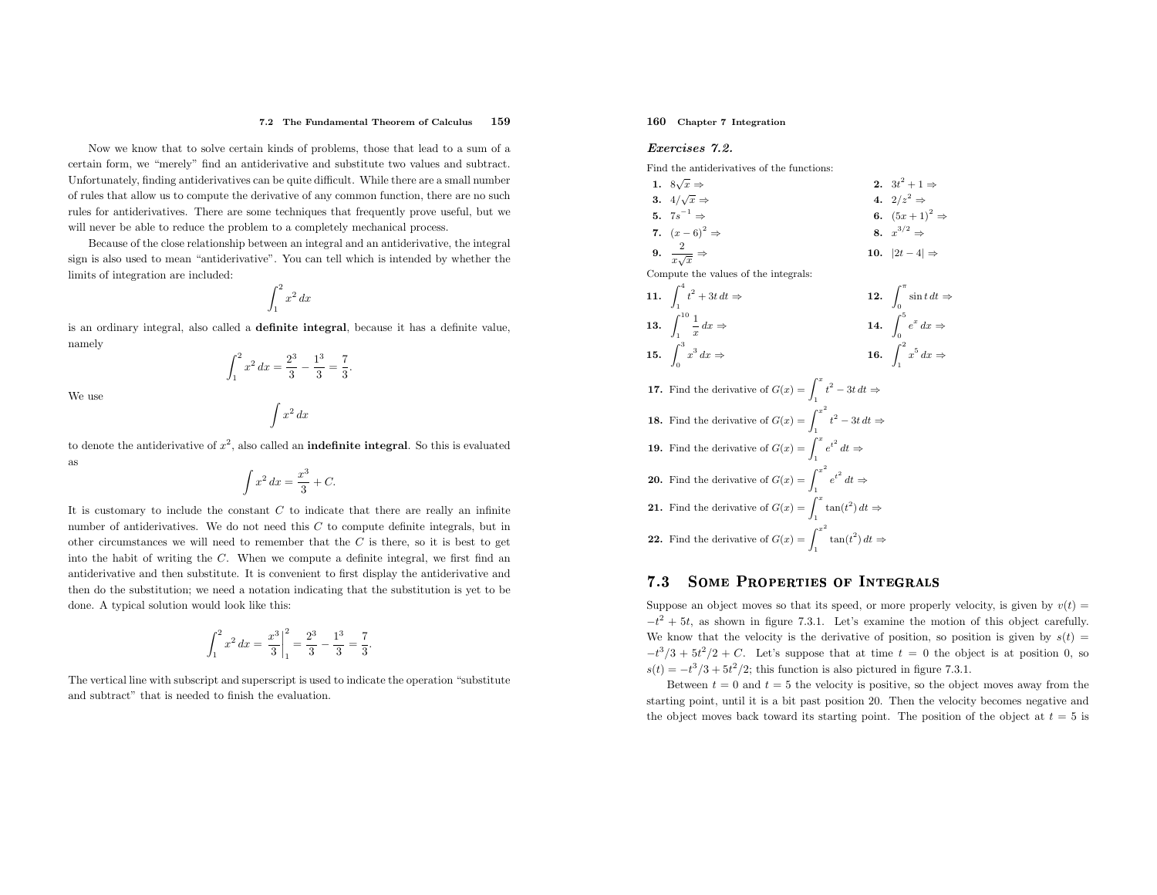#### 7.2 The Fundamental Theorem of Calculus <sup>159</sup>

Now we know that to solve certain kinds of problems, those that lead to <sup>a</sup> sum of <sup>a</sup> certain form, we "merely" find an antiderivative and substitute two values and subtract. Unfortunately, finding antiderivatives can be quite difficult. While there are <sup>a</sup> small number of rules that allow us to compute the derivative of any common function, there are no such rules for antiderivatives. There are some techniques that frequently prove useful, but we will never be able to reduce the problem to <sup>a</sup> completely mechanical process.

Because of the close relationship between an integral and an antiderivative, the integral sign is also used to mean "antiderivative". You can tell which is intended by whether the limits of integration are included:

$$
\int_1^2 x^2 \, dx
$$

is an ordinary integral, also called <sup>a</sup> definite integral, because it has <sup>a</sup> definite value, namely

> $\int_1^2 x$  $x^2 dx = \frac{2^3}{3} - \frac{1^3}{3} = \frac{7}{3}.$

We use

$$
\int x^2 \, dx
$$

to denote the antiderivative of  $x^2$ , also called an **indefinite integral**. So this is evaluated as

$$
\int x^2 dx = \frac{x^3}{3} + C.
$$

It is customary to include the constant  $C$  to indicate that there are really an infinite number of antiderivatives. We do not need this  $C$  to compute definite integrals, but in other circumstances we will need to remember that the  $C$  is there, so it is best to get into the habit of writing the <sup>C</sup>. When we compute <sup>a</sup> definite integral, we first find an antiderivative and then substitute. It is convenient to first display the antiderivative and then do the substitution; we need <sup>a</sup> notation indicating that the substitution is yet to be done. <sup>A</sup> typical solution would look like this:

$$
\int_1^2 x^2 dx = \left. \frac{x^3}{3} \right|_1^2 = \frac{2^3}{3} - \frac{1^3}{3} = \frac{7}{3}.
$$

The vertical line with subscript and superscript is used to indicate the operation "substitute and subtract" that is needed to finish the evaluation.

## 160 Chapter <sup>7</sup> Integration

## Exercises 7.2.

Find the antiderivatives of the functions:

1. 
$$
8\sqrt{x} \Rightarrow
$$
  
\n2.  $3t^2 + 1 \Rightarrow$   
\n3.  $4/\sqrt{x} \Rightarrow$   
\n4.  $2/z^2 \Rightarrow$   
\n5.  $7s^{-1} \Rightarrow$   
\n6.  $(5x+1)^2 \Rightarrow$   
\n7.  $(x-6)^2 \Rightarrow$   
\n8.  $x^{3/2} \Rightarrow$   
\n9.  $\frac{2}{x\sqrt{x}} \Rightarrow$   
\n10.  $|2t-4| \Rightarrow$   
\nCompute the values of the integrals:  
\n11.  $\int_1^4 t^2 + 3t dt \Rightarrow$   
\n12.  $\int_0^{\pi} \sin t dt \Rightarrow$ 

11. 
$$
\int_{1}^{1} t^{2} + 3t dt \Rightarrow
$$
  
12. 
$$
\int_{0}^{\sin t dt} =
$$
  
13. 
$$
\int_{1}^{10} \frac{1}{x} dx \Rightarrow
$$
  
14. 
$$
\int_{0}^{5} e^{x} dx \Rightarrow
$$

$$
15. \int_0^3 x^3 dx \Rightarrow \qquad 16. \int_1^2 x^5 dx \Rightarrow
$$

**17.** Find the derivative of  $G(x) = \int_1^x t^2 - 3t \, dt \Rightarrow$ **18.** Find the derivative of  $G(x) = \int_1^{x^2}$  $t^2-3t\,dt\Rightarrow$ **19.** Find the derivative of  $G(x) = \int_1^x e^{t^2} dt \Rightarrow$ **20.** Find the derivative of  $G(x) = \int_1^{x^2}$  $e^{t^2} dt \Rightarrow$ **21.** Find the derivative of  $G(x) = \int_1^x \tan(t^2) dt \Rightarrow$ **22.** Find the derivative of  $G(x) = \int_1^{x^2}$  $\tan(t^2) dt \Rightarrow$ 

#### 7.3Some Properties of Integrals

Suppose an object moves so that its speed, or more properly velocity, is given by  $v(t) =$  $-t^2 + 5t$ , as shown in figure 7.3.1. Let's examine the motion of this object carefully. We know that the velocity is the derivative of position, so position is given by  $s(t)$  =  $-t^3/3 + 5t^2/2 + C$ . Let's suppose that at time  $t = 0$  the object is at position 0, so  $s(t) = -t^3/3 + 5t^2/2$ ; this function is also pictured in figure 7.3.1.

Between  $t = 0$  and  $t = 5$  the velocity is positive, so the object moves away from the starting point, until it is <sup>a</sup> bit past position 20. Then the velocity becomes negative andthe object moves back toward its starting point. The position of the object at  $t = 5$  is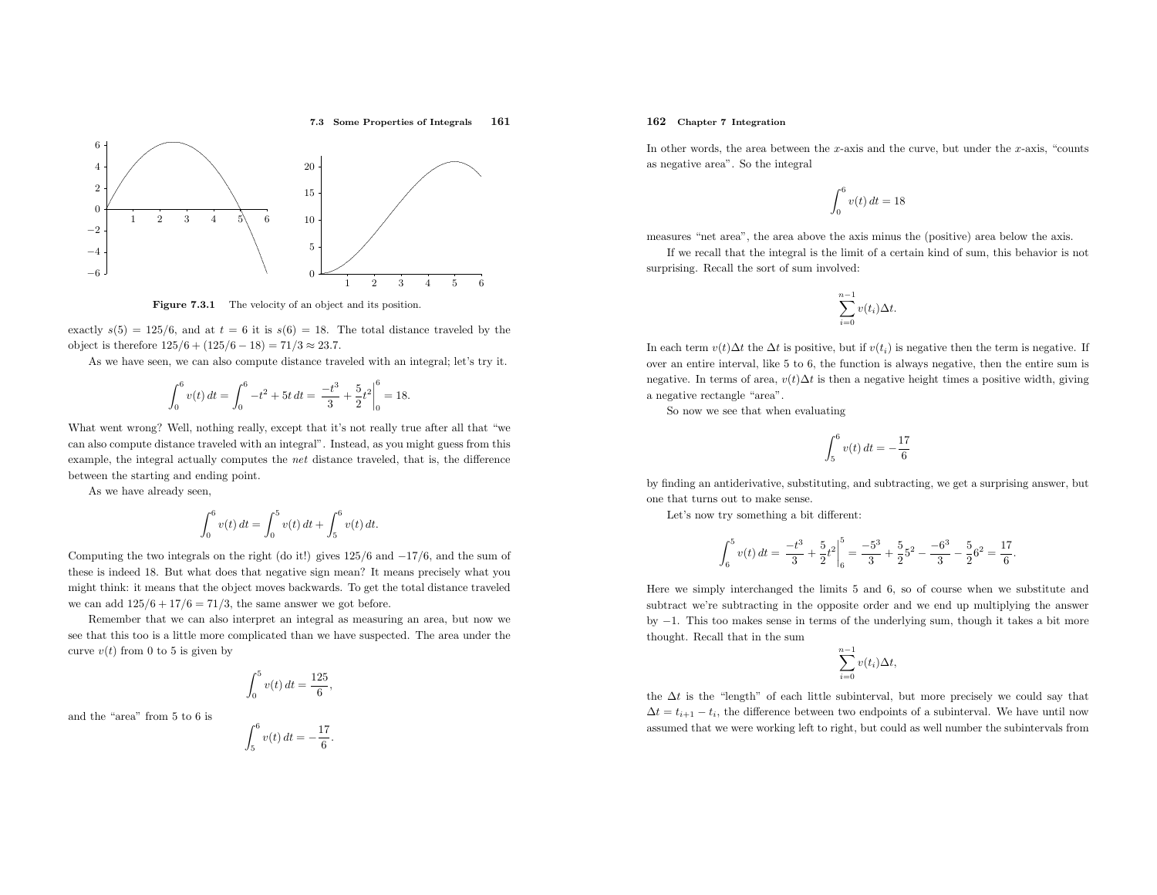#### 7.3 Some Properties of Integrals <sup>161</sup>



**Figure 7.3.1** The velocity of an object and its position.

exactly  $s(5) = 125/6$ , and at  $t = 6$  it is  $s(6) = 18$ . The total distance traveled by the object is therefore  $125/6 + (125/6 - 18) = 71/3 ≈ 23.7$ .

As we have seen, we can also compute distance traveled with an integral; let's try it.

$$
\int_0^6 v(t) dt = \int_0^6 -t^2 + 5t dt = \left. \frac{-t^3}{3} + \frac{5}{2}t^2 \right|_0^6 = 18.
$$

What went wrong? Well, nothing really, except that it's not really true after all that "we can also compute distance traveled with an integral". Instead, as you might guess from this example, the integral actually computes the net distance traveled, that is, the difference between the starting and ending point.

As we have already seen,

$$
\int_0^6 v(t) dt = \int_0^5 v(t) dt + \int_5^6 v(t) dt.
$$

Computing the two integrals on the right (do it!) <sup>g</sup>ives <sup>125</sup>/<sup>6</sup> and<sup>−</sup><sup>17</sup>/6, and the sum of these is indeed 18. But what does that negative sign mean? It means precisely what you might think: it means that the object moves backwards. To get the total distance traveledwe can add  $125/6 + 17/6 = 71/3$ , the same answer we got before.

Remember that we can also interpret an integral as measuring an area, but now we see that this too is <sup>a</sup> little more complicated than we have suspected. The area under the curve  $v(t)$  from 0 to 5 is given by

$$
\int_0^5 v(t) \, dt = \frac{125}{6},
$$

and the "area" from <sup>5</sup> to <sup>6</sup> is

$$
\int_5^6 v(t) \, dt = -\frac{17}{6}
$$

## 162 Chapter <sup>7</sup> Integration

In other words, the area between the x-axis and the curve, but under the x-axis, "counts as negative area". So the integral

$$
\int_0^6 v(t) \, dt = 18
$$

measures "net area", the area above the axis minus the (positive) area below the axis.

If we recall that the integral is the limit of <sup>a</sup> certain kind of sum, this behavior is not surprising. Recall the sort of sum involved:

$$
\sum_{i=0}^{n-1} v(t_i) \Delta t.
$$

In each term  $v(t)\Delta t$  the  $\Delta t$  is positive, but if  $v(t_i)$  is negative then the term is negative. If over an entire interval, like <sup>5</sup> to 6, the function is always negative, then the entire sum is negative. In terms of area,  $v(t)\Delta t$  is then a negative height times a positive width, giving <sup>a</sup> negative rectangle "area".

So now we see that when evaluating

$$
\int_5^6 v(t) \, dt = -\frac{17}{6}
$$

by finding an antiderivative, substituting, and subtracting, we get <sup>a</sup> surprising answer, but one that turns out to make sense.

Let's now try something <sup>a</sup> bit different:

$$
\int_6^5 v(t) dt = \frac{-t^3}{3} + \frac{5}{2}t^2 \bigg|_6^5 = \frac{-5^3}{3} + \frac{5}{2}5^2 - \frac{-6^3}{3} - \frac{5}{2}6^2 = \frac{17}{6}
$$

Here we simply interchanged the limits <sup>5</sup> and 6, so of course when we substitute and subtract we're subtracting in the opposite order and we end up multiplying the answer by<sup>−</sup>1. This too makes sense in terms of the underlying sum, though it takes <sup>a</sup> bit more thought. Recall that in the sum

$$
\sum_{i=0}^{n-1} v(t_i) \Delta t,
$$

the  $\Delta t$  is the "length" of each little subinterval, but more precisely we could say that  $\Delta t = t_{i+1} - t_i$ , the difference between two endpoints of a subinterval. We have until now assumed that we were working left to right, but could as well number the subintervals from